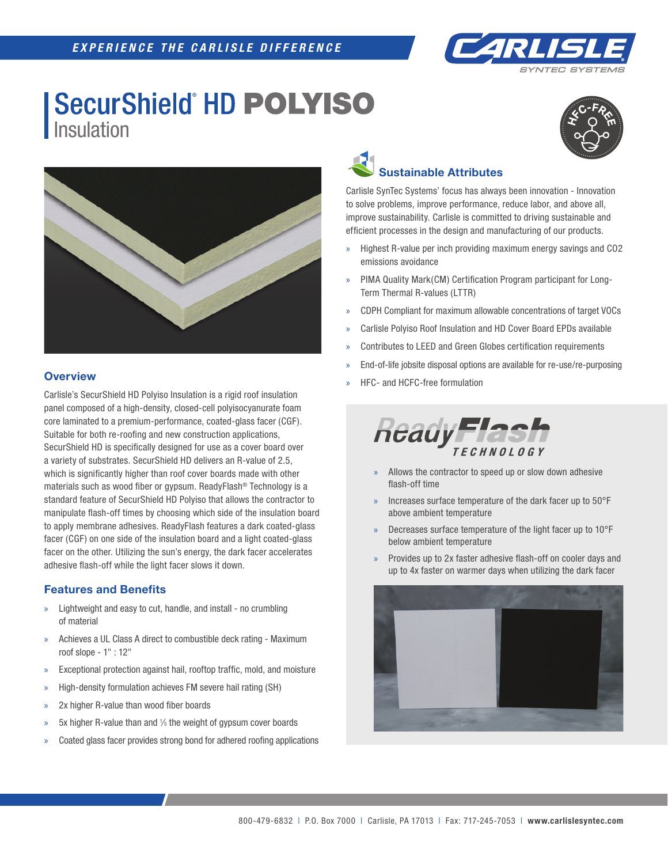

## **SecurShield HD POLYISO** Insulation





## **Overview**

Carlisle's SecurShield HD Polyiso Insulation is a rigid roof insulation panel composed of a high-density, closed-cell polyisocyanurate foam core laminated to a premium-performance, coated-glass facer (CGF). Suitable for both re-roofing and new construction applications, SecurShield HD is specifically designed for use as a cover board over a variety of substrates. SecurShield HD delivers an R-value of 2.5, which is significantly higher than roof cover boards made with other materials such as wood fiber or gypsum. ReadyFlash® Technology is a standard feature of SecurShield HD Polyiso that allows the contractor to manipulate flash-off times by choosing which side of the insulation board to apply membrane adhesives. ReadyFlash features a dark coated-glass facer (CGF) on one side of the insulation board and a light coated-glass facer on the other. Utilizing the sun's energy, the dark facer accelerates adhesive flash-off while the light facer slows it down.

#### **Features and Benefits**

- » Lightweight and easy to cut, handle, and install no crumbling of material
- » Achieves a UL Class A direct to combustible deck rating Maximum roof slope - 1" : 12"
- Exceptional protection against hail, rooftop traffic, mold, and moisture
- » High-density formulation achieves FM severe hail rating (SH)
- 2x higher R-value than wood fiber boards
- $\text{M}$  5x higher R-value than and 1/<sub>5</sub> the weight of gypsum cover boards
- » Coated glass facer provides strong bond for adhered roofing applications



Carlisle SynTec Systems' focus has always been innovation - Innovation to solve problems, improve performance, reduce labor, and above all, improve sustainability. Carlisle is committed to driving sustainable and efficient processes in the design and manufacturing of our products.

- » Highest R-value per inch providing maximum energy savings and CO2 emissions avoidance
- » PIMA Quality Mark(CM) Certification Program participant for Long-Term Thermal R-values (LTTR)
- » CDPH Compliant for maximum allowable concentrations of target VOCs
- » Carlisle Polyiso Roof Insulation and HD Cover Board EPDs available
- Contributes to LEED and Green Globes certification requirements
- » End-of-life jobsite disposal options are available for re-use/re-purposing
- » HFC- and HCFC-free formulation



- Allows the contractor to speed up or slow down adhesive flash-off time
- » Increases surface temperature of the dark facer up to 50°F above ambient temperature
- » Decreases surface temperature of the light facer up to 10°F below ambient temperature
- » Provides up to 2x faster adhesive flash-off on cooler days and up to 4x faster on warmer days when utilizing the dark facer